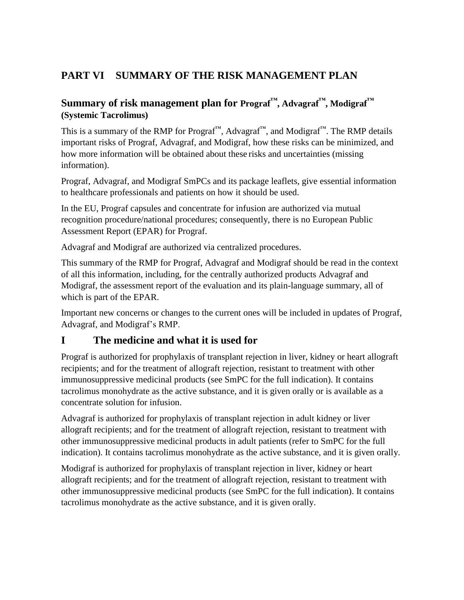# **PART VI SUMMARY OF THE RISK MANAGEMENT PLAN**

# **Summary of risk management plan for Prograf™, Advagraf™, Modigraf™ (Systemic Tacrolimus)**

This is a summary of the RMP for Prograf™, Advagraf™, and Modigraf™. The RMP details important risks of Prograf, Advagraf, and Modigraf, how these risks can be minimized, and how more information will be obtained about these risks and uncertainties (missing information).

Prograf, Advagraf, and Modigraf SmPCs and its package leaflets, give essential information to healthcare professionals and patients on how it should be used.

In the EU, Prograf capsules and concentrate for infusion are authorized via mutual recognition procedure/national procedures; consequently, there is no European Public Assessment Report (EPAR) for Prograf.

Advagraf and Modigraf are authorized via centralized procedures.

This summary of the RMP for Prograf, Advagraf and Modigraf should be read in the context of all this information, including, for the centrally authorized products Advagraf and Modigraf, the assessment report of the evaluation and its plain-language summary, all of which is part of the EPAR.

Important new concerns or changes to the current ones will be included in updates of Prograf, Advagraf, and Modigraf's RMP.

# **I The medicine and what it is used for**

Prograf is authorized for prophylaxis of transplant rejection in liver, kidney or heart allograft recipients; and for the treatment of allograft rejection, resistant to treatment with other immunosuppressive medicinal products (see SmPC for the full indication). It contains tacrolimus monohydrate as the active substance, and it is given orally or is available as a concentrate solution for infusion.

Advagraf is authorized for prophylaxis of transplant rejection in adult kidney or liver allograft recipients; and for the treatment of allograft rejection, resistant to treatment with other immunosuppressive medicinal products in adult patients (refer to SmPC for the full indication). It contains tacrolimus monohydrate as the active substance, and it is given orally.

Modigraf is authorized for prophylaxis of transplant rejection in liver, kidney or heart allograft recipients; and for the treatment of allograft rejection, resistant to treatment with other immunosuppressive medicinal products (see SmPC for the full indication). It contains tacrolimus monohydrate as the active substance, and it is given orally.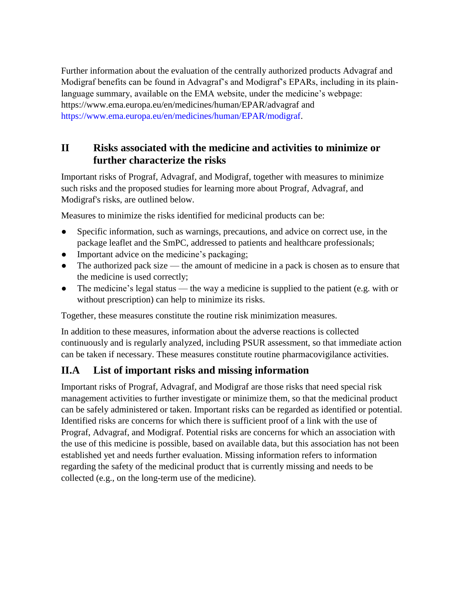Further information about the evaluation of the centrally authorized products Advagraf and Modigraf benefits can be found in Advagraf's and Modigraf's EPARs, including in its plainlanguage summary, available on the EMA website, under the medicine's webpage: https://www.ema.europa.eu/en/medicines/human/EPAR/advagraf and [https://www.ema.europa.eu/en/medicines/human/EPAR/modigraf.](https://www.ema.europa.eu/en/medicines/human/EPAR/modigraf)

# **II Risks associated with the medicine and activities to minimize or further characterize the risks**

Important risks of Prograf, Advagraf, and Modigraf, together with measures to minimize such risks and the proposed studies for learning more about Prograf, Advagraf, and Modigraf's risks, are outlined below.

Measures to minimize the risks identified for medicinal products can be:

- Specific information, such as warnings, precautions, and advice on correct use, in the package leaflet and the SmPC, addressed to patients and healthcare professionals;
- Important advice on the medicine's packaging;
- The authorized pack size the amount of medicine in a pack is chosen as to ensure that the medicine is used correctly;
- The medicine's legal status the way a medicine is supplied to the patient (e.g. with or without prescription) can help to minimize its risks.

Together, these measures constitute the routine risk minimization measures.

In addition to these measures, information about the adverse reactions is collected continuously and is regularly analyzed, including PSUR assessment, so that immediate action can be taken if necessary. These measures constitute routine pharmacovigilance activities.

# **II.A List of important risks and missing information**

Important risks of Prograf, Advagraf, and Modigraf are those risks that need special risk management activities to further investigate or minimize them, so that the medicinal product can be safely administered or taken. Important risks can be regarded as identified or potential. Identified risks are concerns for which there is sufficient proof of a link with the use of Prograf, Advagraf, and Modigraf. Potential risks are concerns for which an association with the use of this medicine is possible, based on available data, but this association has not been established yet and needs further evaluation. Missing information refers to information regarding the safety of the medicinal product that is currently missing and needs to be collected (e.g., on the long-term use of the medicine).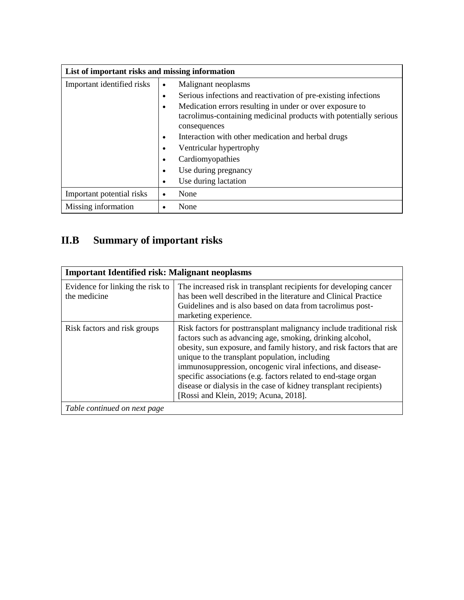| List of important risks and missing information |           |                                                                                   |
|-------------------------------------------------|-----------|-----------------------------------------------------------------------------------|
| Important identified risks                      | $\bullet$ | Malignant neoplasms                                                               |
|                                                 | ٠         | Serious infections and reactivation of pre-existing infections                    |
|                                                 | $\bullet$ | Medication errors resulting in under or over exposure to                          |
|                                                 |           | tacrolimus-containing medicinal products with potentially serious<br>consequences |
|                                                 | $\bullet$ | Interaction with other medication and herbal drugs                                |
|                                                 | $\bullet$ | Ventricular hypertrophy                                                           |
|                                                 | $\bullet$ | Cardiomyopathies                                                                  |
|                                                 | $\bullet$ | Use during pregnancy                                                              |
|                                                 | $\bullet$ | Use during lactation                                                              |
| Important potential risks                       | $\bullet$ | None                                                                              |
| Missing information                             | ٠         | None                                                                              |

# **II.B Summary of important risks**

| <b>Important Identified risk: Malignant neoplasms</b> |                                                                                                                                                                                                                                                                                                                                                                                                                                                                                                          |  |  |
|-------------------------------------------------------|----------------------------------------------------------------------------------------------------------------------------------------------------------------------------------------------------------------------------------------------------------------------------------------------------------------------------------------------------------------------------------------------------------------------------------------------------------------------------------------------------------|--|--|
| Evidence for linking the risk to<br>the medicine      | The increased risk in transplant recipients for developing cancer<br>has been well described in the literature and Clinical Practice<br>Guidelines and is also based on data from tacrolimus post-<br>marketing experience.                                                                                                                                                                                                                                                                              |  |  |
| Risk factors and risk groups                          | Risk factors for posttransplant malignancy include traditional risk<br>factors such as advancing age, smoking, drinking alcohol,<br>obesity, sun exposure, and family history, and risk factors that are<br>unique to the transplant population, including<br>immunosuppression, oncogenic viral infections, and disease-<br>specific associations (e.g. factors related to end-stage organ<br>disease or dialysis in the case of kidney transplant recipients)<br>[Rossi and Klein, 2019; Acuna, 2018]. |  |  |
| Table continued on next page                          |                                                                                                                                                                                                                                                                                                                                                                                                                                                                                                          |  |  |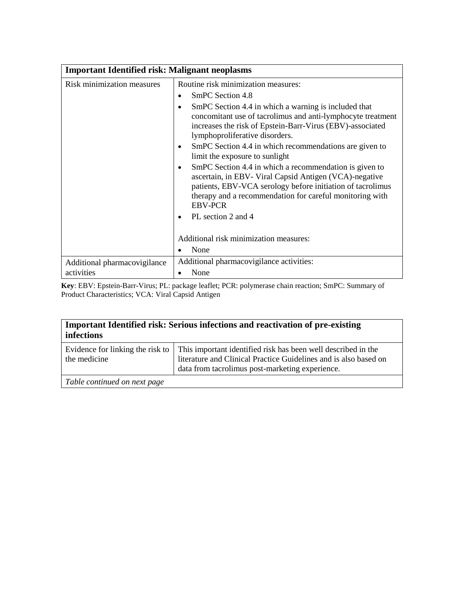| <b>Important Identified risk: Malignant neoplasms</b> |                                                                                                                                                                                                                                                                                                                                                                                                                                                                                                                                                                                                                                                                              |  |  |
|-------------------------------------------------------|------------------------------------------------------------------------------------------------------------------------------------------------------------------------------------------------------------------------------------------------------------------------------------------------------------------------------------------------------------------------------------------------------------------------------------------------------------------------------------------------------------------------------------------------------------------------------------------------------------------------------------------------------------------------------|--|--|
| Risk minimization measures                            | Routine risk minimization measures:<br>SmPC Section 4.8<br>$\bullet$<br>SmPC Section 4.4 in which a warning is included that<br>concomitant use of tacrolimus and anti-lymphocyte treatment<br>increases the risk of Epstein-Barr-Virus (EBV)-associated<br>lymphoproliferative disorders.<br>SmPC Section 4.4 in which recommendations are given to<br>limit the exposure to sunlight<br>SmPC Section 4.4 in which a recommendation is given to<br>ascertain, in EBV- Viral Capsid Antigen (VCA)-negative<br>patients, EBV-VCA serology before initiation of tacrolimus<br>therapy and a recommendation for careful monitoring with<br><b>EBV-PCR</b><br>PL section 2 and 4 |  |  |
| Additional pharmacovigilance<br>activities            | Additional risk minimization measures:<br>None<br>Additional pharmacovigilance activities:<br>None                                                                                                                                                                                                                                                                                                                                                                                                                                                                                                                                                                           |  |  |

**Key**: EBV: Epstein-Barr-Virus; PL: package leaflet; PCR: polymerase chain reaction; SmPC: Summary of Product Characteristics; VCA: Viral Capsid Antigen

| <b>Important Identified risk: Serious infections and reactivation of pre-existing</b> |  |  |  |  |  |  |  |  |  |  |
|---------------------------------------------------------------------------------------|--|--|--|--|--|--|--|--|--|--|
| infections                                                                            |  |  |  |  |  |  |  |  |  |  |
|                                                                                       |  |  |  |  |  |  |  |  |  |  |

| literature and Clinical Practice Guidelines and is also based on<br>the medicine | Evidence for linking the risk to   This important identified risk has been well described in the |
|----------------------------------------------------------------------------------|--------------------------------------------------------------------------------------------------|
|                                                                                  |                                                                                                  |
| data from tacrolimus post-marketing experience.                                  |                                                                                                  |

*Table continued on next page*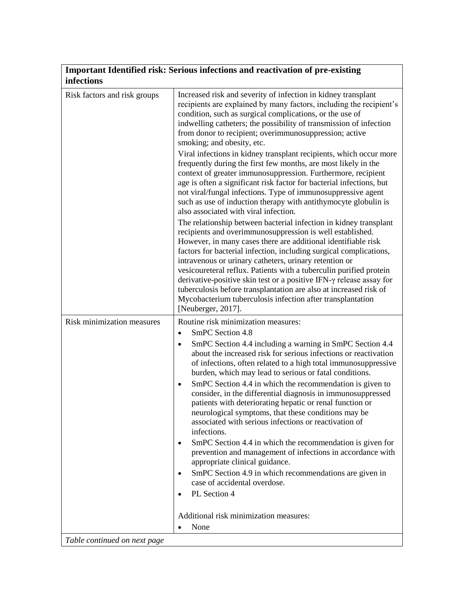| infections                   | Important Identified risk: Serious infections and reactivation of pre-existing                                                                                                                                                                                                                                                                                                                                                                                                                                                                                                                                                        |
|------------------------------|---------------------------------------------------------------------------------------------------------------------------------------------------------------------------------------------------------------------------------------------------------------------------------------------------------------------------------------------------------------------------------------------------------------------------------------------------------------------------------------------------------------------------------------------------------------------------------------------------------------------------------------|
| Risk factors and risk groups | Increased risk and severity of infection in kidney transplant<br>recipients are explained by many factors, including the recipient's<br>condition, such as surgical complications, or the use of<br>indwelling catheters; the possibility of transmission of infection<br>from donor to recipient; overimmunosuppression; active<br>smoking; and obesity, etc.                                                                                                                                                                                                                                                                        |
|                              | Viral infections in kidney transplant recipients, which occur more<br>frequently during the first few months, are most likely in the<br>context of greater immunosuppression. Furthermore, recipient<br>age is often a significant risk factor for bacterial infections, but<br>not viral/fungal infections. Type of immunosuppressive agent<br>such as use of induction therapy with antithymocyte globulin is<br>also associated with viral infection.                                                                                                                                                                              |
|                              | The relationship between bacterial infection in kidney transplant<br>recipients and overimmunosuppression is well established.<br>However, in many cases there are additional identifiable risk<br>factors for bacterial infection, including surgical complications,<br>intravenous or urinary catheters, urinary retention or<br>vesicoureteral reflux. Patients with a tuberculin purified protein<br>derivative-positive skin test or a positive IFN-y release assay for<br>tuberculosis before transplantation are also at increased risk of<br>Mycobacterium tuberculosis infection after transplantation<br>[Neuberger, 2017]. |
| Risk minimization measures   | Routine risk minimization measures:                                                                                                                                                                                                                                                                                                                                                                                                                                                                                                                                                                                                   |
|                              | SmPC Section 4.8<br>$\bullet$<br>SmPC Section 4.4 including a warning in SmPC Section 4.4<br>$\bullet$<br>about the increased risk for serious infections or reactivation<br>of infections, often related to a high total immunosuppressive<br>burden, which may lead to serious or fatal conditions.                                                                                                                                                                                                                                                                                                                                 |
|                              | SmPC Section 4.4 in which the recommendation is given to<br>$\bullet$<br>consider, in the differential diagnosis in immunosuppressed<br>patients with deteriorating hepatic or renal function or<br>neurological symptoms, that these conditions may be<br>associated with serious infections or reactivation of<br>infections.                                                                                                                                                                                                                                                                                                       |
|                              | SmPC Section 4.4 in which the recommendation is given for<br>$\bullet$<br>prevention and management of infections in accordance with<br>appropriate clinical guidance.                                                                                                                                                                                                                                                                                                                                                                                                                                                                |
|                              | SmPC Section 4.9 in which recommendations are given in<br>$\bullet$<br>case of accidental overdose.                                                                                                                                                                                                                                                                                                                                                                                                                                                                                                                                   |
|                              | PL Section 4                                                                                                                                                                                                                                                                                                                                                                                                                                                                                                                                                                                                                          |
|                              | Additional risk minimization measures:<br>None<br>$\bullet$                                                                                                                                                                                                                                                                                                                                                                                                                                                                                                                                                                           |
| Table continued on next page |                                                                                                                                                                                                                                                                                                                                                                                                                                                                                                                                                                                                                                       |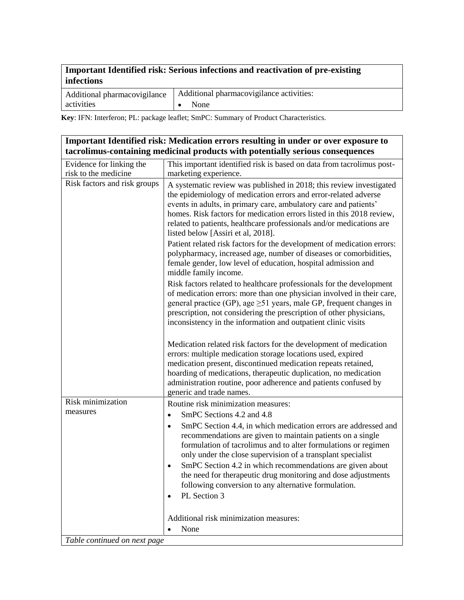#### **Important Identified risk: Serious infections and reactivation of pre-existing infections**

| Additional pharmacovigilance | Additional pharmacovigilance activities: |
|------------------------------|------------------------------------------|
| activities                   | None                                     |

**Key**: IFN: Interferon; PL: package leaflet; SmPC: Summary of Product Characteristics.

|                                                  | Important Identified risk: Medication errors resulting in under or over exposure to<br>tacrolimus-containing medicinal products with potentially serious consequences                                                                                                                                                                                                                                                                                                                                                                   |
|--------------------------------------------------|-----------------------------------------------------------------------------------------------------------------------------------------------------------------------------------------------------------------------------------------------------------------------------------------------------------------------------------------------------------------------------------------------------------------------------------------------------------------------------------------------------------------------------------------|
| Evidence for linking the<br>risk to the medicine | This important identified risk is based on data from tacrolimus post-<br>marketing experience.                                                                                                                                                                                                                                                                                                                                                                                                                                          |
| Risk factors and risk groups                     | A systematic review was published in 2018; this review investigated<br>the epidemiology of medication errors and error-related adverse<br>events in adults, in primary care, ambulatory care and patients'<br>homes. Risk factors for medication errors listed in this 2018 review,<br>related to patients, healthcare professionals and/or medications are<br>listed below [Assiri et al, 2018].                                                                                                                                       |
|                                                  | Patient related risk factors for the development of medication errors:<br>polypharmacy, increased age, number of diseases or comorbidities,<br>female gender, low level of education, hospital admission and<br>middle family income.                                                                                                                                                                                                                                                                                                   |
|                                                  | Risk factors related to healthcare professionals for the development<br>of medication errors: more than one physician involved in their care,<br>general practice (GP), age $\geq 51$ years, male GP, frequent changes in<br>prescription, not considering the prescription of other physicians,<br>inconsistency in the information and outpatient clinic visits                                                                                                                                                                       |
|                                                  | Medication related risk factors for the development of medication<br>errors: multiple medication storage locations used, expired<br>medication present, discontinued medication repeats retained,<br>hoarding of medications, therapeutic duplication, no medication<br>administration routine, poor adherence and patients confused by<br>generic and trade names.                                                                                                                                                                     |
| Risk minimization<br>measures                    | Routine risk minimization measures:                                                                                                                                                                                                                                                                                                                                                                                                                                                                                                     |
|                                                  | SmPC Sections 4.2 and 4.8<br>$\bullet$<br>SmPC Section 4.4, in which medication errors are addressed and<br>$\bullet$<br>recommendations are given to maintain patients on a single<br>formulation of tacrolimus and to alter formulations or regimen<br>only under the close supervision of a transplant specialist<br>SmPC Section 4.2 in which recommendations are given about<br>$\bullet$<br>the need for therapeutic drug monitoring and dose adjustments<br>following conversion to any alternative formulation.<br>PL Section 3 |
|                                                  | Additional risk minimization measures:<br>None                                                                                                                                                                                                                                                                                                                                                                                                                                                                                          |
| Table continued on next page                     |                                                                                                                                                                                                                                                                                                                                                                                                                                                                                                                                         |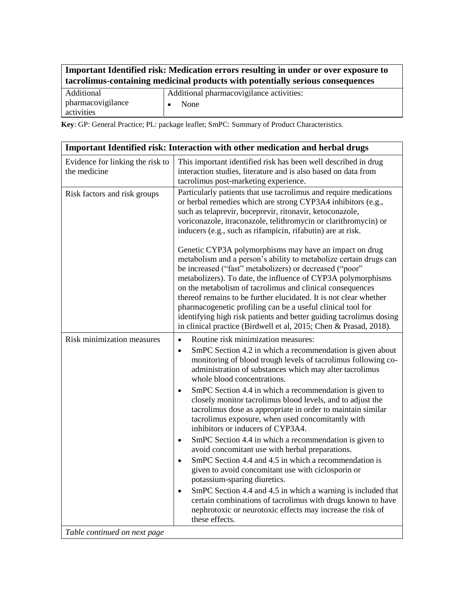| Important Identified risk: Medication errors resulting in under or over exposure to |
|-------------------------------------------------------------------------------------|
| tacrolimus-containing medicinal products with potentially serious consequences      |

| Additional        | Additional pharmacovigilance activities: |
|-------------------|------------------------------------------|
| pharmacovigilance | None                                     |
| activities        |                                          |

**Key**: GP: General Practice; PL: package leaflet; SmPC: Summary of Product Characteristics.

|                                                  | Important Identified risk: Interaction with other medication and herbal drugs                                                                                                                                                                                                                                                                                                                                                                                                                                                                                                                                                                                                                                                                                                                                                                                                                                                                                                                                                                                                                         |
|--------------------------------------------------|-------------------------------------------------------------------------------------------------------------------------------------------------------------------------------------------------------------------------------------------------------------------------------------------------------------------------------------------------------------------------------------------------------------------------------------------------------------------------------------------------------------------------------------------------------------------------------------------------------------------------------------------------------------------------------------------------------------------------------------------------------------------------------------------------------------------------------------------------------------------------------------------------------------------------------------------------------------------------------------------------------------------------------------------------------------------------------------------------------|
| Evidence for linking the risk to<br>the medicine | This important identified risk has been well described in drug<br>interaction studies, literature and is also based on data from<br>tacrolimus post-marketing experience.                                                                                                                                                                                                                                                                                                                                                                                                                                                                                                                                                                                                                                                                                                                                                                                                                                                                                                                             |
| Risk factors and risk groups                     | Particularly patients that use tacrolimus and require medications<br>or herbal remedies which are strong CYP3A4 inhibitors (e.g.,<br>such as telaprevir, boceprevir, ritonavir, ketoconazole,<br>voriconazole, itraconazole, telithromycin or clarithromycin) or<br>inducers (e.g., such as rifampicin, rifabutin) are at risk.                                                                                                                                                                                                                                                                                                                                                                                                                                                                                                                                                                                                                                                                                                                                                                       |
|                                                  | Genetic CYP3A polymorphisms may have an impact on drug<br>metabolism and a person's ability to metabolize certain drugs can<br>be increased ("fast" metabolizers) or decreased ("poor"<br>metabolizers). To date, the influence of CYP3A polymorphisms<br>on the metabolism of tacrolimus and clinical consequences<br>thereof remains to be further elucidated. It is not clear whether<br>pharmacogenetic profiling can be a useful clinical tool for<br>identifying high risk patients and better guiding tacrolimus dosing<br>in clinical practice (Birdwell et al, 2015; Chen & Prasad, 2018).                                                                                                                                                                                                                                                                                                                                                                                                                                                                                                   |
| Risk minimization measures                       | Routine risk minimization measures:<br>$\bullet$<br>SmPC Section 4.2 in which a recommendation is given about<br>$\bullet$<br>monitoring of blood trough levels of tacrolimus following co-<br>administration of substances which may alter tacrolimus<br>whole blood concentrations.<br>SmPC Section 4.4 in which a recommendation is given to<br>$\bullet$<br>closely monitor tacrolimus blood levels, and to adjust the<br>tacrolimus dose as appropriate in order to maintain similar<br>tacrolimus exposure, when used concomitantly with<br>inhibitors or inducers of CYP3A4.<br>SmPC Section 4.4 in which a recommendation is given to<br>$\bullet$<br>avoid concomitant use with herbal preparations.<br>SmPC Section 4.4 and 4.5 in which a recommendation is<br>$\bullet$<br>given to avoid concomitant use with ciclosporin or<br>potassium-sparing diuretics.<br>SmPC Section 4.4 and 4.5 in which a warning is included that<br>$\bullet$<br>certain combinations of tacrolimus with drugs known to have<br>nephrotoxic or neurotoxic effects may increase the risk of<br>these effects. |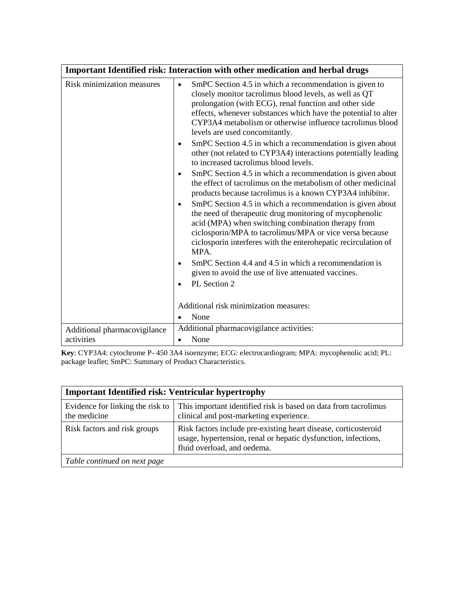|                                                            | Important Identified risk: Interaction with other medication and herbal drugs                                                                                                                                                                                                                                                                                                                                                                                                                                                                                                                                                                                                                                                                                                                                                                                                                                                                                                                                                                                                                                                                                                                                                                                                                         |
|------------------------------------------------------------|-------------------------------------------------------------------------------------------------------------------------------------------------------------------------------------------------------------------------------------------------------------------------------------------------------------------------------------------------------------------------------------------------------------------------------------------------------------------------------------------------------------------------------------------------------------------------------------------------------------------------------------------------------------------------------------------------------------------------------------------------------------------------------------------------------------------------------------------------------------------------------------------------------------------------------------------------------------------------------------------------------------------------------------------------------------------------------------------------------------------------------------------------------------------------------------------------------------------------------------------------------------------------------------------------------|
| Risk minimization measures<br>Additional pharmacovigilance | SmPC Section 4.5 in which a recommendation is given to<br>$\bullet$<br>closely monitor tacrolimus blood levels, as well as QT<br>prolongation (with ECG), renal function and other side<br>effects, whenever substances which have the potential to alter<br>CYP3A4 metabolism or otherwise influence tacrolimus blood<br>levels are used concomitantly.<br>SmPC Section 4.5 in which a recommendation is given about<br>other (not related to CYP3A4) interactions potentially leading<br>to increased tacrolimus blood levels.<br>SmPC Section 4.5 in which a recommendation is given about<br>$\bullet$<br>the effect of tacrolimus on the metabolism of other medicinal<br>products because tacrolimus is a known CYP3A4 inhibitor.<br>SmPC Section 4.5 in which a recommendation is given about<br>the need of therapeutic drug monitoring of mycophenolic<br>acid (MPA) when switching combination therapy from<br>ciclosporin/MPA to tacrolimus/MPA or vice versa because<br>ciclosporin interferes with the enterohepatic recirculation of<br>MPA.<br>SmPC Section 4.4 and 4.5 in which a recommendation is<br>given to avoid the use of live attenuated vaccines.<br>PL Section 2<br>$\bullet$<br>Additional risk minimization measures:<br>None<br>Additional pharmacovigilance activities: |
| activities                                                 | None<br>$\bullet$                                                                                                                                                                                                                                                                                                                                                                                                                                                                                                                                                                                                                                                                                                                                                                                                                                                                                                                                                                                                                                                                                                                                                                                                                                                                                     |

**Key**: CYP3A4: cytochrome P- 450 3A4 isoenzyme; ECG: electrocardiogram; MPA: mycophenolic acid; PL: package leaflet; SmPC: Summary of Product Characteristics.

| <b>Important Identified risk: Ventricular hypertrophy</b> |                                                                                                                                                                  |
|-----------------------------------------------------------|------------------------------------------------------------------------------------------------------------------------------------------------------------------|
| Evidence for linking the risk to<br>the medicine          | This important identified risk is based on data from tacrolimus<br>clinical and post-marketing experience.                                                       |
| Risk factors and risk groups                              | Risk factors include pre-existing heart disease, corticosteroid<br>usage, hypertension, renal or hepatic dysfunction, infections,<br>fluid overload, and oedema. |
| Table continued on next page                              |                                                                                                                                                                  |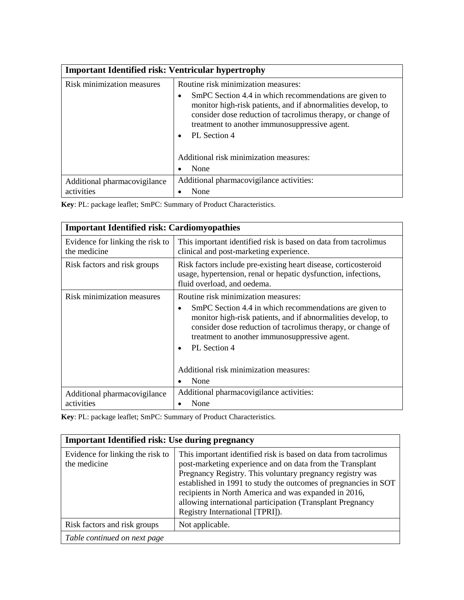| <b>Important Identified risk: Ventricular hypertrophy</b> |                                                                                                                                                                                                                                                                     |
|-----------------------------------------------------------|---------------------------------------------------------------------------------------------------------------------------------------------------------------------------------------------------------------------------------------------------------------------|
| Risk minimization measures                                | Routine risk minimization measures:                                                                                                                                                                                                                                 |
|                                                           | SmPC Section 4.4 in which recommendations are given to<br>$\bullet$<br>monitor high-risk patients, and if abnormalities develop, to<br>consider dose reduction of tacrolimus therapy, or change of<br>treatment to another immunosuppressive agent.<br>PL Section 4 |
|                                                           | Additional risk minimization measures:                                                                                                                                                                                                                              |
|                                                           | None                                                                                                                                                                                                                                                                |
| Additional pharmacovigilance                              | Additional pharmacovigilance activities:                                                                                                                                                                                                                            |
| activities                                                | None                                                                                                                                                                                                                                                                |

**Key**: PL: package leaflet; SmPC: Summary of Product Characteristics.

| <b>Important Identified risk: Cardiomyopathies</b> |                                                                                                                                                                                                                                                                                                                                                                   |
|----------------------------------------------------|-------------------------------------------------------------------------------------------------------------------------------------------------------------------------------------------------------------------------------------------------------------------------------------------------------------------------------------------------------------------|
| Evidence for linking the risk to<br>the medicine   | This important identified risk is based on data from tacrolimus<br>clinical and post-marketing experience.                                                                                                                                                                                                                                                        |
| Risk factors and risk groups                       | Risk factors include pre-existing heart disease, corticosteroid<br>usage, hypertension, renal or hepatic dysfunction, infections,<br>fluid overload, and oedema.                                                                                                                                                                                                  |
| Risk minimization measures                         | Routine risk minimization measures:<br>SmPC Section 4.4 in which recommendations are given to<br>٠<br>monitor high-risk patients, and if abnormalities develop, to<br>consider dose reduction of tacrolimus therapy, or change of<br>treatment to another immunosuppressive agent.<br>PL Section 4<br>$\bullet$<br>Additional risk minimization measures:<br>None |
| Additional pharmacovigilance                       | Additional pharmacovigilance activities:                                                                                                                                                                                                                                                                                                                          |
| activities                                         | None                                                                                                                                                                                                                                                                                                                                                              |

**Key**: PL: package leaflet; SmPC: Summary of Product Characteristics.

| <b>Important Identified risk: Use during pregnancy</b> |                                                                                                                                                                                                                                                                                                                                                                                                                        |  |
|--------------------------------------------------------|------------------------------------------------------------------------------------------------------------------------------------------------------------------------------------------------------------------------------------------------------------------------------------------------------------------------------------------------------------------------------------------------------------------------|--|
| Evidence for linking the risk to<br>the medicine       | This important identified risk is based on data from tacrolimus<br>post-marketing experience and on data from the Transplant<br>Pregnancy Registry. This voluntary pregnancy registry was<br>established in 1991 to study the outcomes of pregnancies in SOT<br>recipients in North America and was expanded in 2016,<br>allowing international participation (Transplant Pregnancy<br>Registry International [TPRI]). |  |
| Risk factors and risk groups                           | Not applicable.                                                                                                                                                                                                                                                                                                                                                                                                        |  |
| Table continued on next page                           |                                                                                                                                                                                                                                                                                                                                                                                                                        |  |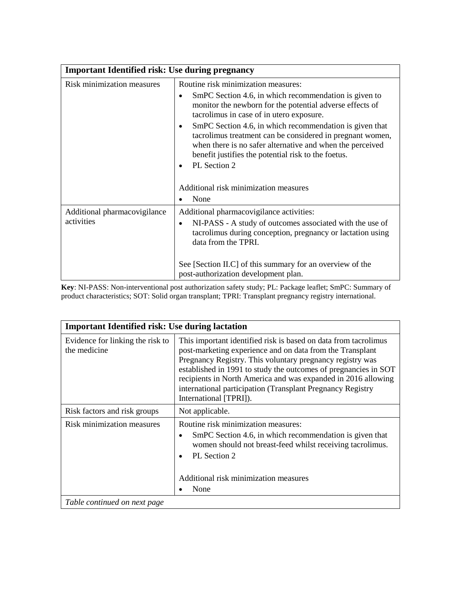| <b>Important Identified risk: Use during pregnancy</b> |                                                                                                                                                                                                                                                                                                                                                                                                                                                                                                         |
|--------------------------------------------------------|---------------------------------------------------------------------------------------------------------------------------------------------------------------------------------------------------------------------------------------------------------------------------------------------------------------------------------------------------------------------------------------------------------------------------------------------------------------------------------------------------------|
| <b>Risk minimization measures</b>                      | Routine risk minimization measures:<br>SmPC Section 4.6, in which recommendation is given to<br>$\bullet$<br>monitor the newborn for the potential adverse effects of<br>tacrolimus in case of in utero exposure.<br>SmPC Section 4.6, in which recommendation is given that<br>$\bullet$<br>tacrolimus treatment can be considered in pregnant women,<br>when there is no safer alternative and when the perceived<br>benefit justifies the potential risk to the foetus.<br>PL Section 2<br>$\bullet$ |
|                                                        | Additional risk minimization measures<br>None<br>$\bullet$                                                                                                                                                                                                                                                                                                                                                                                                                                              |
| Additional pharmacovigilance<br>activities             | Additional pharmacovigilance activities:<br>NI-PASS - A study of outcomes associated with the use of<br>$\bullet$<br>tacrolimus during conception, pregnancy or lactation using<br>data from the TPRI.<br>See [Section II.C] of this summary for an overview of the                                                                                                                                                                                                                                     |
|                                                        | post-authorization development plan.                                                                                                                                                                                                                                                                                                                                                                                                                                                                    |

**Key**: NI-PASS: Non-interventional post authorization safety study; PL: Package leaflet; SmPC: Summary of product characteristics; SOT: Solid organ transplant; TPRI: Transplant pregnancy registry international.

| <b>Important Identified risk: Use during lactation</b> |                                                                                                                                                                                                                                                                                                                                                                                                                       |
|--------------------------------------------------------|-----------------------------------------------------------------------------------------------------------------------------------------------------------------------------------------------------------------------------------------------------------------------------------------------------------------------------------------------------------------------------------------------------------------------|
| Evidence for linking the risk to<br>the medicine       | This important identified risk is based on data from tacrolimus<br>post-marketing experience and on data from the Transplant<br>Pregnancy Registry. This voluntary pregnancy registry was<br>established in 1991 to study the outcomes of pregnancies in SOT<br>recipients in North America and was expanded in 2016 allowing<br>international participation (Transplant Pregnancy Registry<br>International [TPRI]). |
| Risk factors and risk groups                           | Not applicable.                                                                                                                                                                                                                                                                                                                                                                                                       |
| Risk minimization measures                             | Routine risk minimization measures:<br>SmPC Section 4.6, in which recommendation is given that<br>$\bullet$<br>women should not breast-feed whilst receiving tacrolimus.<br>PL Section 2<br>$\bullet$<br>Additional risk minimization measures<br>None                                                                                                                                                                |
| Table continued on next page                           |                                                                                                                                                                                                                                                                                                                                                                                                                       |